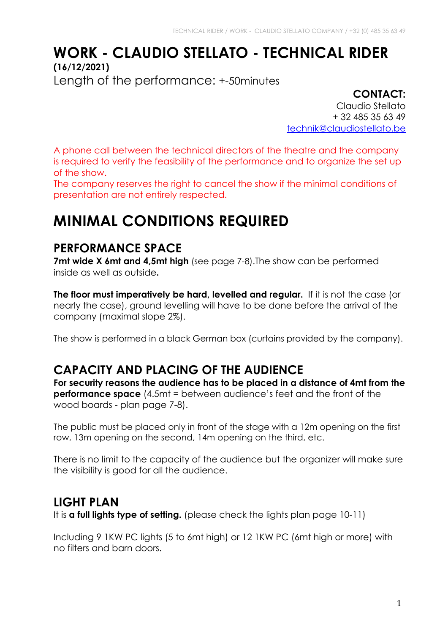# **WORK - CLAUDIO STELLATO - TECHNICAL RIDER (16/12/2021)**

Length of the performance: +-50minutes

**CONTACT:** Claudio Stellato + 32 485 35 63 49 technik@claudiostellato.be

A phone call between the technical directors of the theatre and the company is required to verify the feasibility of the performance and to organize the set up of the show.

The company reserves the right to cancel the show if the minimal conditions of presentation are not entirely respected.

# **MINIMAL CONDITIONS REQUIRED**

### **PERFORMANCE SPACE**

**7mt wide X 6mt and 4.5mt high** (see page 7-8). The show can be performed inside as well as outside**.**

**The floor must imperatively be hard, levelled and regular.** If it is not the case (or nearly the case), ground levelling will have to be done before the arrival of the company (maximal slope 2%).

The show is performed in a black German box (curtains provided by the company).

### **CAPACITY AND PLACING OF THE AUDIENCE**

**For security reasons the audience has to be placed in a distance of 4mt from the performance space** (4.5mt = between audience's feet and the front of the wood boards - plan page 7-8).

The public must be placed only in front of the stage with a 12m opening on the first row, 13m opening on the second, 14m opening on the third, etc.

There is no limit to the capacity of the audience but the organizer will make sure the visibility is good for all the audience.

### **LIGHT PLAN**

It is **a full lights type of setting.** (please check the lights plan page 10-11)

Including 9 1KW PC lights (5 to 6mt high) or 12 1KW PC (6mt high or more) with no filters and barn doors.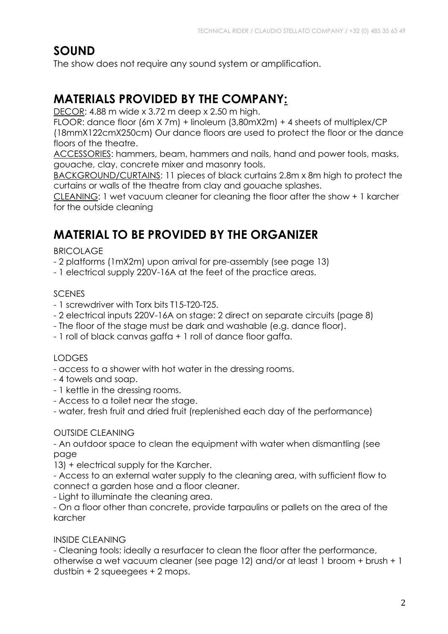### **SOUND**

The show does not require any sound system or amplification.

# **MATERIALS PROVIDED BY THE COMPANY:**

DECOR: 4.88 m wide x 3.72 m deep x 2.50 m high.

FLOOR: dance floor (6m X 7m) + linoleum (3,80mX2m) + 4 sheets of multiplex/CP (18mmX122cmX250cm) Our dance floors are used to protect the floor or the dance floors of the theatre.

ACCESSORIES: hammers, beam, hammers and nails, hand and power tools, masks, gouache, clay, concrete mixer and masonry tools.

BACKGROUND/CURTAINS: 11 pieces of black curtains 2.8m x 8m high to protect the curtains or walls of the theatre from clay and gouache splashes.

CLEANING: 1 wet vacuum cleaner for cleaning the floor after the show + 1 karcher for the outside cleaning

# **MATERIAL TO BE PROVIDED BY THE ORGANIZER**

#### BRICOLAGE

- 2 platforms (1mX2m) upon arrival for pre-assembly (see page 13)

- 1 electrical supply 220V-16A at the feet of the practice areas.

#### **SCENES**

- 1 screwdriver with Torx bits T15-T20-T25.
- 2 electrical inputs 220V-16A on stage: 2 direct on separate circuits (page 8)
- The floor of the stage must be dark and washable (e.g. dance floor).
- 1 roll of black canvas gaffa + 1 roll of dance floor gaffa.

#### LODGES

- access to a shower with hot water in the dressing rooms.
- 4 towels and soap.
- 1 kettle in the dressing rooms.
- Access to a toilet near the stage.

- water, fresh fruit and dried fruit (replenished each day of the performance)

#### OUTSIDE CLEANING

- An outdoor space to clean the equipment with water when dismantling (see page

13) + electrical supply for the Karcher.

- Access to an external water supply to the cleaning area, with sufficient flow to connect a garden hose and a floor cleaner.

- Light to illuminate the cleaning area.

- On a floor other than concrete, provide tarpaulins or pallets on the area of the karcher

#### INSIDE CLEANING

- Cleaning tools: ideally a resurfacer to clean the floor after the performance, otherwise a wet vacuum cleaner (see page 12) and/or at least 1 broom + brush + 1 dustbin + 2 squeegees + 2 mops.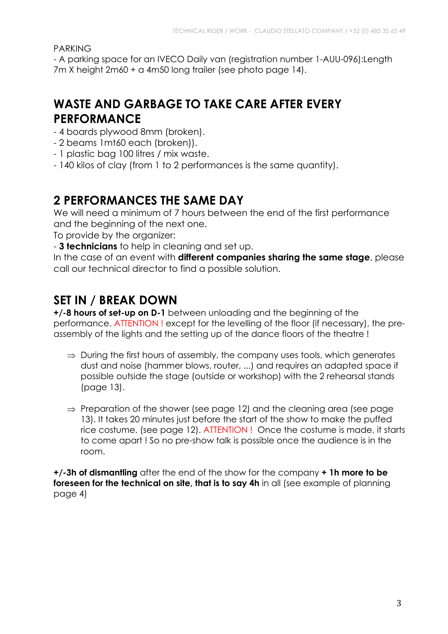PARKING

- A parking space for an IVECO Daily van (registration number 1-AUU-096):Length 7m X height 2m60 + a 4m50 long trailer (see photo page 14).

## **WASTE AND GARBAGE TO TAKE CARE AFTER EVERY PERFORMANCE**

- 4 boards plywood 8mm (broken).
- 2 beams 1mt60 each (broken)).
- 1 plastic bag 100 litres / mix waste.
- 140 kilos of clay (from 1 to 2 performances is the same quantity).

### **2 PERFORMANCES THE SAME DAY**

We will need a minimum of 7 hours between the end of the first performance and the beginning of the next one.

To provide by the organizer:

- **3 technicians** to help in cleaning and set up.

In the case of an event with **different companies sharing the same stage**, please call our technical director to find a possible solution.

## **SET IN / BREAK DOWN**

**+/-8 hours of set-up on D-1** between unloading and the beginning of the performance. ATTENTION ! except for the levelling of the floor (if necessary), the preassembly of the lights and the setting up of the dance floors of the theatre !

- $\Rightarrow$  During the first hours of assembly, the company uses tools, which generates dust and noise (hammer blows, router, ...) and requires an adapted space if possible outside the stage (outside or workshop) with the 2 rehearsal stands (page 13).
- $\Rightarrow$  Preparation of the shower (see page 12) and the cleaning area (see page 13). It takes 20 minutes just before the start of the show to make the puffed rice costume. (see page 12). ATTENTION ! Once the costume is made, it starts to come apart ! So no pre-show talk is possible once the audience is in the room.

**+/-3h of dismantling** after the end of the show for the company **+ 1h more to be foreseen for the technical on site, that is to say 4h** in all (see example of planning page 4)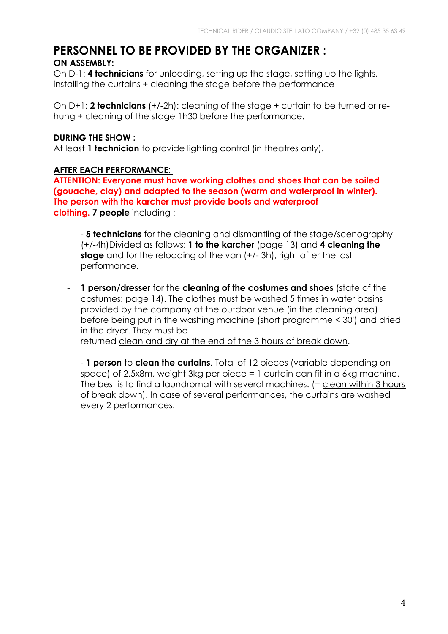# **PERSONNEL TO BE PROVIDED BY THE ORGANIZER :**

#### **ON ASSEMBLY:**

On D-1: **4 technicians** for unloading, setting up the stage, setting up the lights, installing the curtains + cleaning the stage before the performance

On D+1: **2 technicians** (+/-2h): cleaning of the stage + curtain to be turned or rehung + cleaning of the stage 1h30 before the performance.

#### **DURING THE SHOW :**

At least **1 technician** to provide lighting control (in theatres only).

#### **AFTER EACH PERFORMANCE:**

**ATTENTION: Everyone must have working clothes and shoes that can be soiled (gouache, clay) and adapted to the season (warm and waterproof in winter). The person with the karcher must provide boots and waterproof clothing. 7 people** including :

- **5 technicians** for the cleaning and dismantling of the stage/scenography (+/-4h)Divided as follows: **1 to the karcher** (page 13) and **4 cleaning the stage** and for the reloading of the van (+/- 3h), right after the last performance.

- **1 person/dresser** for the **cleaning of the costumes and shoes** (state of the costumes: page 14). The clothes must be washed 5 times in water basins provided by the company at the outdoor venue (in the cleaning area) before being put in the washing machine (short programme < 30') and dried in the dryer. They must be returned clean and dry at the end of the 3 hours of break down.

- **1 person** to **clean the curtains**. Total of 12 pieces (variable depending on space) of 2.5x8m, weight 3kg per piece = 1 curtain can fit in a 6kg machine. The best is to find a laundromat with several machines. (= clean within 3 hours of break down). In case of several performances, the curtains are washed every 2 performances.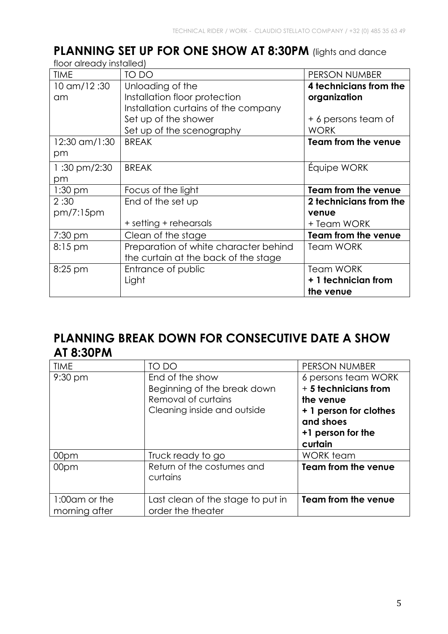#### PLANNING SET UP FOR ONE SHOW AT 8:30PM (lights and dance floor already installed)

| floor already tristalled) |                                       |                            |  |  |
|---------------------------|---------------------------------------|----------------------------|--|--|
| <b>TIME</b>               | TO DO                                 | PERSON NUMBER              |  |  |
| 10 am/12:30               | Unloading of the                      | 4 technicians from the     |  |  |
| am                        | Installation floor protection         | organization               |  |  |
|                           | Installation curtains of the company  |                            |  |  |
|                           | Set up of the shower                  | + 6 persons team of        |  |  |
|                           | Set up of the scenography             | <b>WORK</b>                |  |  |
| 12:30 am/1:30             | <b>BREAK</b>                          | <b>Team from the venue</b> |  |  |
| pm                        |                                       |                            |  |  |
| 1:30 pm/2:30              | <b>BREAK</b>                          | Equipe WORK                |  |  |
| pm                        |                                       |                            |  |  |
| $1:30$ pm                 | Focus of the light                    | Team from the venue        |  |  |
| 2:30                      | End of the set up                     | 2 technicians from the     |  |  |
| pm/7:15pm                 |                                       | venue                      |  |  |
|                           | + setting + rehearsals                | + Team WORK                |  |  |
| $7:30$ pm                 | Clean of the stage                    | <b>Team from the venue</b> |  |  |
| $8:15 \text{ pm}$         | Preparation of white character behind | <b>Team WORK</b>           |  |  |
|                           | the curtain at the back of the stage  |                            |  |  |
| $8:25$ pm                 | Entrance of public                    | <b>Team WORK</b>           |  |  |
|                           |                                       |                            |  |  |
|                           | Light                                 | + 1 technician from        |  |  |

## **PLANNING BREAK DOWN FOR CONSECUTIVE DATE A SHOW AT 8:30PM**

| <b>TIME</b>                    | TO DO                                                                                                | PERSON NUMBER                                                                                                                   |
|--------------------------------|------------------------------------------------------------------------------------------------------|---------------------------------------------------------------------------------------------------------------------------------|
| $9:30 \text{ pm}$              | End of the show<br>Beginning of the break down<br>Removal of curtains<br>Cleaning inside and outside | 6 persons team WORK<br>+ 5 technicians from<br>the venue<br>+ 1 person for clothes<br>and shoes<br>+1 person for the<br>curtain |
| 00pm                           | Truck ready to go                                                                                    | WORK team                                                                                                                       |
| 00pm                           | Return of the costumes and<br>curtains                                                               | <b>Team from the venue</b>                                                                                                      |
| 1:00am or the<br>morning after | Last clean of the stage to put in<br>order the theater                                               | <b>Team from the venue</b>                                                                                                      |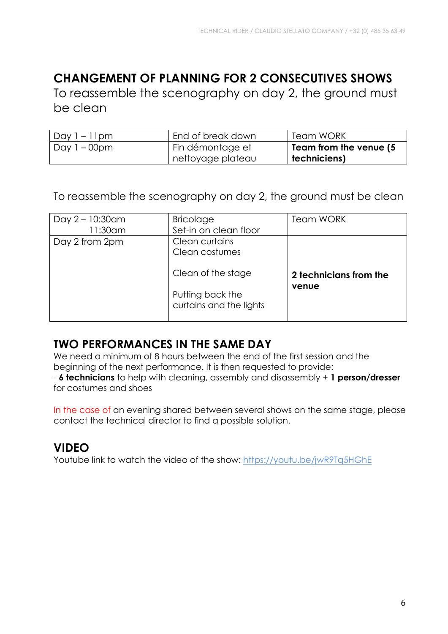# **CHANGEMENT OF PLANNING FOR 2 CONSECUTIVES SHOWS**

To reassemble the scenography on day 2, the ground must be clean

| Day $1 - 11$ pm | End of break down | <b>Team WORK</b>       |
|-----------------|-------------------|------------------------|
| Day 1 – 00pm    | Fin démontage et  | Team from the venue (5 |
|                 | nettoyage plateau | techniciens)           |

To reassemble the scenography on day 2, the ground must be clean

| Day $2 - 10:30$ am<br>11:30am | <b>Bricolage</b><br>Set-in on clean floor                         | <b>Team WORK</b>                |
|-------------------------------|-------------------------------------------------------------------|---------------------------------|
| Day 2 from 2pm                | Clean curtains<br>Clean costumes                                  |                                 |
|                               | Clean of the stage<br>Putting back the<br>curtains and the lights | 2 technicians from the<br>venue |

### **TWO PERFORMANCES IN THE SAME DAY**

We need a minimum of 8 hours between the end of the first session and the beginning of the next performance. It is then requested to provide: - **6 technicians** to help with cleaning, assembly and disassembly + **1 person/dresser** for costumes and shoes

In the case of an evening shared between several shows on the same stage, please contact the technical director to find a possible solution.

# **VIDEO**

Youtube link to watch the video of the show: https://youtu.be/jwR9Tq5HGhE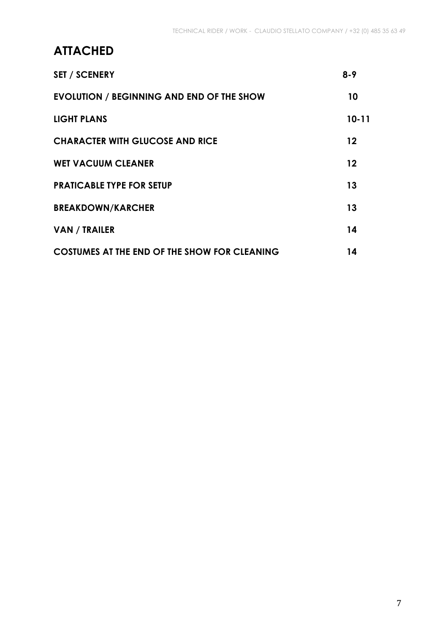# **ATTACHED**

| <b>SET / SCENERY</b>                                | $8 - 9$   |
|-----------------------------------------------------|-----------|
| <b>EVOLUTION / BEGINNING AND END OF THE SHOW</b>    | 10        |
| <b>LIGHT PLANS</b>                                  | $10 - 11$ |
| <b>CHARACTER WITH GLUCOSE AND RICE</b>              | 12        |
| <b>WET VACUUM CLEANER</b>                           | 12        |
| <b>PRATICABLE TYPE FOR SETUP</b>                    | 13        |
| <b>BREAKDOWN/KARCHER</b>                            | 13        |
| <b>VAN / TRAILER</b>                                | 14        |
| <b>COSTUMES AT THE END OF THE SHOW FOR CLEANING</b> | 14        |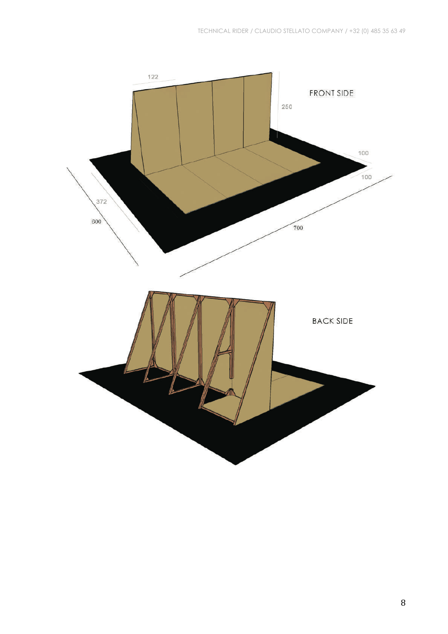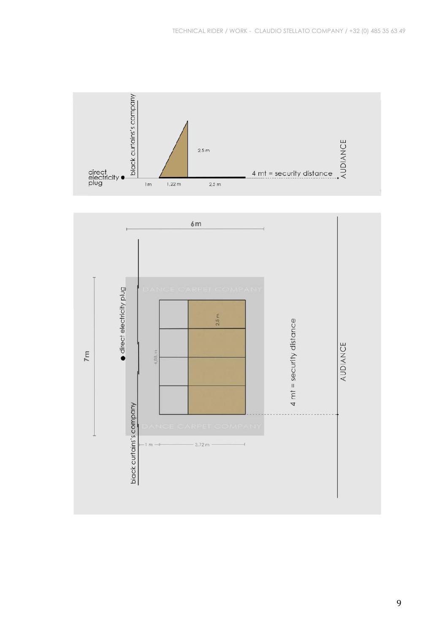

9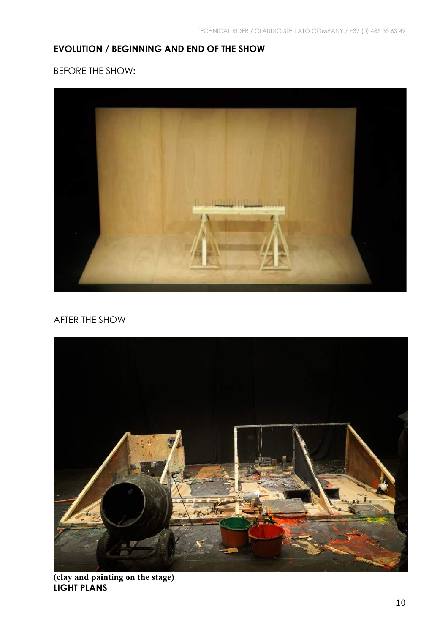### **EVOLUTION / BEGINNING AND END OF THE SHOW**

BEFORE THE SHOW**:**



#### AFTER THE SHOW



**(clay and painting on the stage) LIGHT PLANS**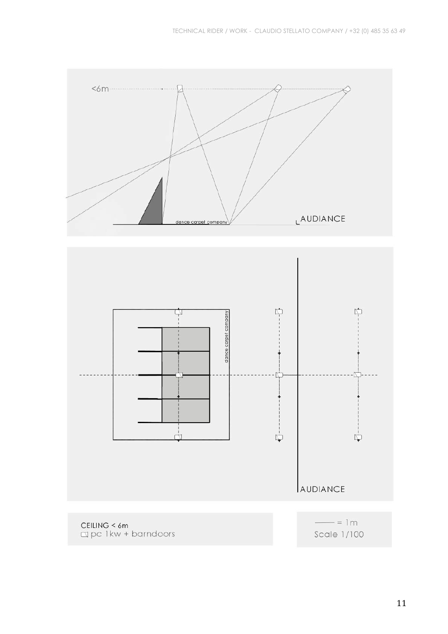



Scale 1/100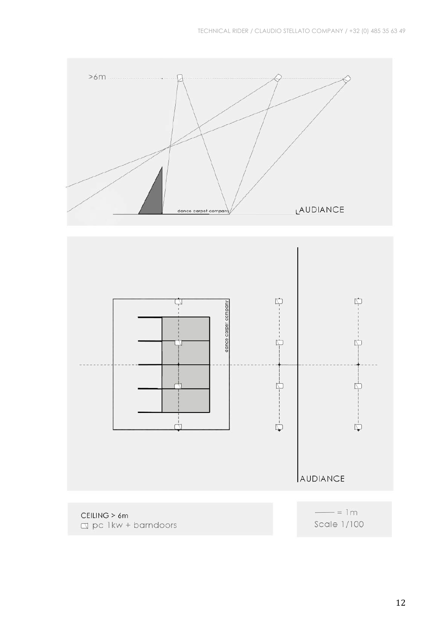



 $\Box$  pc 1kw + barndoors

Scale 1/100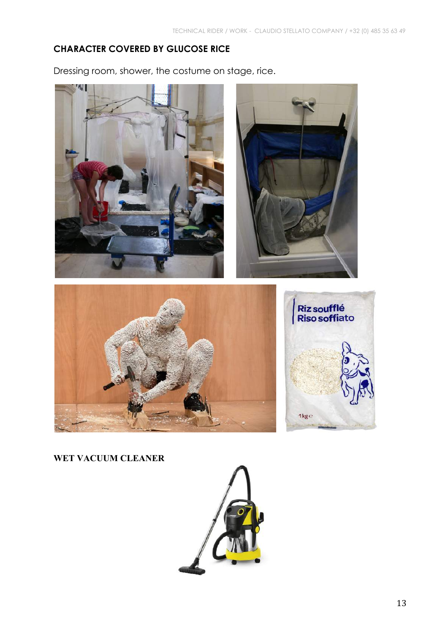### **CHARACTER COVERED BY GLUCOSE RICE**

Dressing room, shower, the costume on stage, rice.



**WET VACUUM CLEANER** 

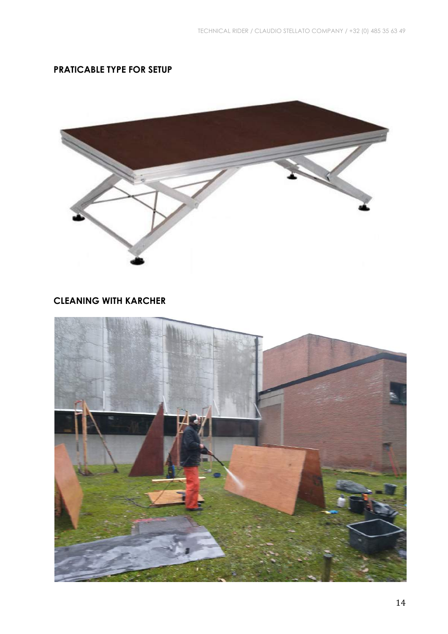### **PRATICABLE TYPE FOR SETUP**



### **CLEANING WITH KARCHER**